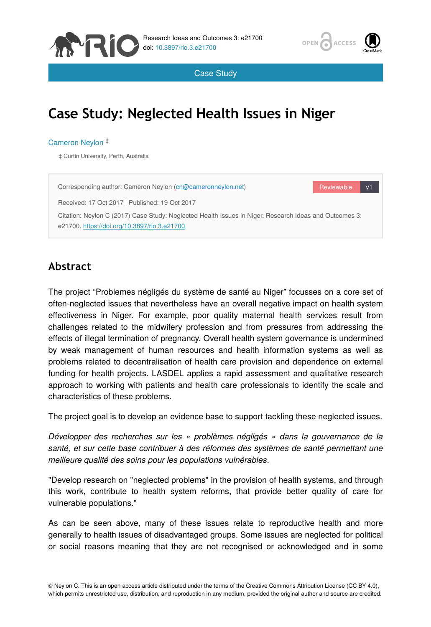



Case Study

# **Case Study: Neglected Health Issues in Niger**

#### Cameron Neylon ‡

‡ Curtin University, Perth, Australia



#### **Abstract**

The project "Problemes négligés du système de santé au Niger" focusses on a core set of often-neglected issues that nevertheless have an overall negative impact on health system effectiveness in Niger. For example, poor quality maternal health services result from challenges related to the midwifery profession and from pressures from addressing the effects of illegal termination of pregnancy. Overall health system governance is undermined by weak management of human resources and health information systems as well as problems related to decentralisation of health care provision and dependence on external funding for health projects. LASDEL applies a rapid assessment and qualitative research approach to working with patients and health care professionals to identify the scale and characteristics of these problems.

The project goal is to develop an evidence base to support tackling these neglected issues.

*Développer des recherches sur les « problèmes négligés » dans la gouvernance de la santé, et sur cette base contribuer à des réformes des systèmes de santé permettant une meilleure qualité des soins pour les populations vulnérables*.

"Develop research on "neglected problems" in the provision of health systems, and through this work, contribute to health system reforms, that provide better quality of care for vulnerable populations."

As can be seen above, many of these issues relate to reproductive health and more generally to health issues of disadvantaged groups. Some issues are neglected for political or social reasons meaning that they are not recognised or acknowledged and in some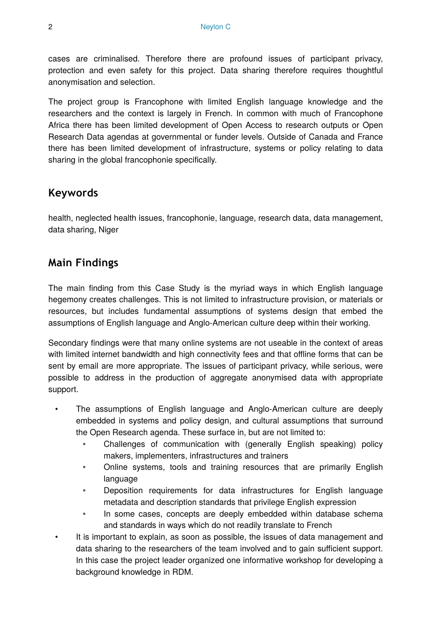cases are criminalised. Therefore there are profound issues of participant privacy, protection and even safety for this project. Data sharing therefore requires thoughtful anonymisation and selection.

The project group is Francophone with limited English language knowledge and the researchers and the context is largely in French. In common with much of Francophone Africa there has been limited development of Open Access to research outputs or Open Research Data agendas at governmental or funder levels. Outside of Canada and France there has been limited development of infrastructure, systems or policy relating to data sharing in the global francophonie specifically.

#### **Keywords**

health, neglected health issues, francophonie, language, research data, data management, data sharing, Niger

#### **Main Findings**

The main finding from this Case Study is the myriad ways in which English language hegemony creates challenges. This is not limited to infrastructure provision, or materials or resources, but includes fundamental assumptions of systems design that embed the assumptions of English language and Anglo-American culture deep within their working.

Secondary findings were that many online systems are not useable in the context of areas with limited internet bandwidth and high connectivity fees and that offline forms that can be sent by email are more appropriate. The issues of participant privacy, while serious, were possible to address in the production of aggregate anonymised data with appropriate support.

- The assumptions of English language and Anglo-American culture are deeply embedded in systems and policy design, and cultural assumptions that surround the Open Research agenda. These surface in, but are not limited to:
	- Challenges of communication with (generally English speaking) policy makers, implementers, infrastructures and trainers
	- Online systems, tools and training resources that are primarily English language
	- Deposition requirements for data infrastructures for English language metadata and description standards that privilege English expression
	- In some cases, concepts are deeply embedded within database schema and standards in ways which do not readily translate to French
- It is important to explain, as soon as possible, the issues of data management and data sharing to the researchers of the team involved and to gain sufficient support. In this case the project leader organized one informative workshop for developing a background knowledge in RDM.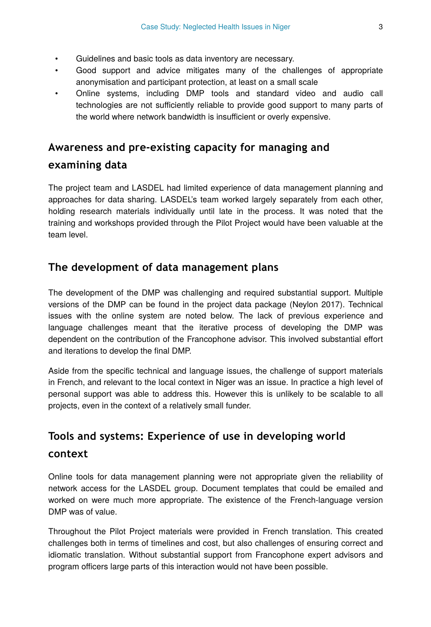- Guidelines and basic tools as data inventory are necessary.
- Good support and advice mitigates many of the challenges of appropriate anonymisation and participant protection, at least on a small scale
- Online systems, including DMP tools and standard video and audio call technologies are not sufficiently reliable to provide good support to many parts of the world where network bandwidth is insufficient or overly expensive.

## **Awareness and pre-existing capacity for managing and examining data**

The project team and LASDEL had limited experience of data management planning and approaches for data sharing. LASDEL's team worked largely separately from each other, holding research materials individually until late in the process. It was noted that the training and workshops provided through the Pilot Project would have been valuable at the team level.

#### **The development of data management plans**

The development of the DMP was challenging and required substantial support. Multiple versions of the DMP can be found in the project data package (Neylon 2017). Technical issues with the online system are noted below. The lack of previous experience and language challenges meant that the iterative process of developing the DMP was dependent on the contribution of the Francophone advisor. This involved substantial effort and iterations to develop the final DMP.

Aside from the specific technical and language issues, the challenge of support materials in French, and relevant to the local context in Niger was an issue. In practice a high level of personal support was able to address this. However this is unlikely to be scalable to all projects, even in the context of a relatively small funder.

## **Tools and systems: Experience of use in developing world context**

Online tools for data management planning were not appropriate given the reliability of network access for the LASDEL group. Document templates that could be emailed and worked on were much more appropriate. The existence of the French-language version DMP was of value.

Throughout the Pilot Project materials were provided in French translation. This created challenges both in terms of timelines and cost, but also challenges of ensuring correct and idiomatic translation. Without substantial support from Francophone expert advisors and program officers large parts of this interaction would not have been possible.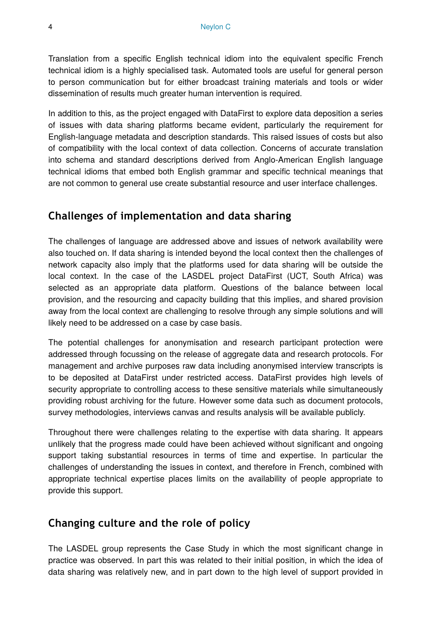Translation from a specific English technical idiom into the equivalent specific French technical idiom is a highly specialised task. Automated tools are useful for general person to person communication but for either broadcast training materials and tools or wider dissemination of results much greater human intervention is required.

In addition to this, as the project engaged with DataFirst to explore data deposition a series of issues with data sharing platforms became evident, particularly the requirement for English-language metadata and description standards. This raised issues of costs but also of compatibility with the local context of data collection. Concerns of accurate translation into schema and standard descriptions derived from Anglo-American English language technical idioms that embed both English grammar and specific technical meanings that are not common to general use create substantial resource and user interface challenges.

#### **Challenges of implementation and data sharing**

The challenges of language are addressed above and issues of network availability were also touched on. If data sharing is intended beyond the local context then the challenges of network capacity also imply that the platforms used for data sharing will be outside the local context. In the case of the LASDEL project DataFirst (UCT, South Africa) was selected as an appropriate data platform. Questions of the balance between local provision, and the resourcing and capacity building that this implies, and shared provision away from the local context are challenging to resolve through any simple solutions and will likely need to be addressed on a case by case basis.

The potential challenges for anonymisation and research participant protection were addressed through focussing on the release of aggregate data and research protocols. For management and archive purposes raw data including anonymised interview transcripts is to be deposited at DataFirst under restricted access. DataFirst provides high levels of security appropriate to controlling access to these sensitive materials while simultaneously providing robust archiving for the future. However some data such as document protocols, survey methodologies, interviews canvas and results analysis will be available publicly.

Throughout there were challenges relating to the expertise with data sharing. It appears unlikely that the progress made could have been achieved without significant and ongoing support taking substantial resources in terms of time and expertise. In particular the challenges of understanding the issues in context, and therefore in French, combined with appropriate technical expertise places limits on the availability of people appropriate to provide this support.

#### **Changing culture and the role of policy**

The LASDEL group represents the Case Study in which the most significant change in practice was observed. In part this was related to their initial position, in which the idea of data sharing was relatively new, and in part down to the high level of support provided in